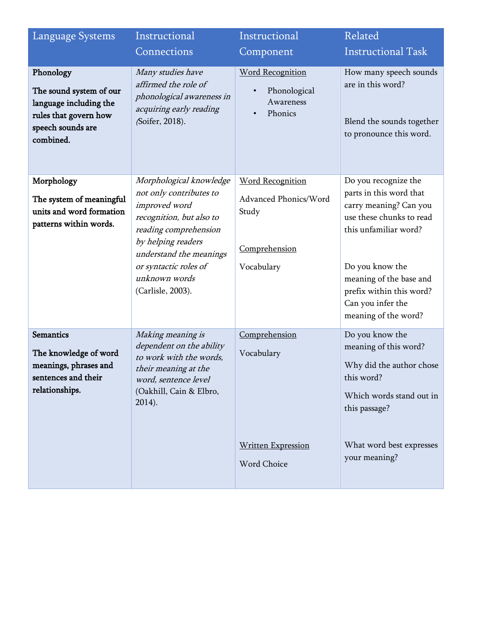| Language Systems                                                                                                          | Instructional                                                                                                                                                                            | Instructional                                                   | Related                                                                                                                                              |
|---------------------------------------------------------------------------------------------------------------------------|------------------------------------------------------------------------------------------------------------------------------------------------------------------------------------------|-----------------------------------------------------------------|------------------------------------------------------------------------------------------------------------------------------------------------------|
|                                                                                                                           | Connections                                                                                                                                                                              | Component                                                       | <b>Instructional Task</b>                                                                                                                            |
| Phonology<br>The sound system of our<br>language including the<br>rules that govern how<br>speech sounds are<br>combined. | Many studies have<br>affirmed the role of<br>phonological awareness in<br>acquiring early reading<br>(Soifer, 2018).                                                                     | <b>Word Recognition</b><br>Phonological<br>Awareness<br>Phonics | How many speech sounds<br>are in this word?<br>Blend the sounds together<br>to pronounce this word.                                                  |
| Morphology                                                                                                                | Morphological knowledge                                                                                                                                                                  | <b>Word Recognition</b>                                         | Do you recognize the                                                                                                                                 |
| The system of meaningful<br>units and word formation<br>patterns within words.                                            | not only contributes to<br>improved word<br>recognition, but also to<br>reading comprehension<br>by helping readers<br>understand the meanings<br>or syntactic roles of<br>unknown words | Advanced Phonics/Word<br>Study<br>Comprehension<br>Vocabulary   | parts in this word that<br>carry meaning? Can you<br>use these chunks to read<br>this unfamiliar word?<br>Do you know the<br>meaning of the base and |
|                                                                                                                           | (Carlisle, 2003).                                                                                                                                                                        |                                                                 | prefix within this word?<br>Can you infer the<br>meaning of the word?                                                                                |
| <b>Semantics</b><br>The knowledge of word<br>meanings, phrases and<br>sentences and their<br>relationships.               | Making meaning is<br>dependent on the ability<br>to work with the words,<br>their meaning at the<br>word, sentence level<br>(Oakhill, Cain & Elbro,<br>$2014$ ).                         | Comprehension<br>Vocabulary                                     | Do you know the<br>meaning of this word?<br>Why did the author chose<br>this word?<br>Which words stand out in<br>this passage?                      |
|                                                                                                                           |                                                                                                                                                                                          | <b>Written Expression</b><br>Word Choice                        | What word best expresses<br>your meaning?                                                                                                            |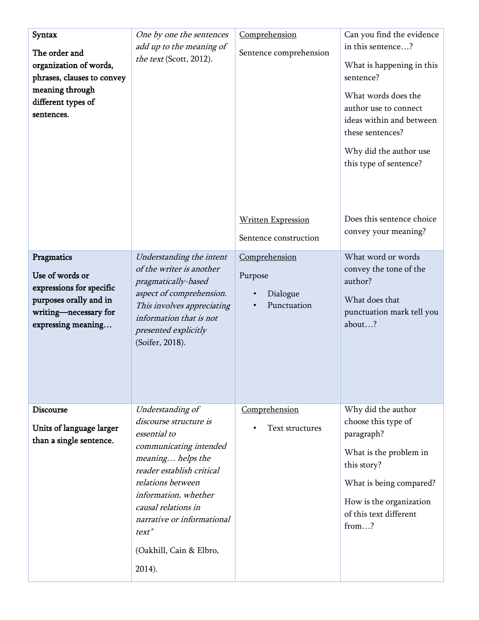| Syntax<br>The order and<br>organization of words,<br>phrases, clauses to convey<br>meaning through<br>different types of<br>sentences. | One by one the sentences<br>add up to the meaning of<br>the text (Scott, 2012).                                                                                                                                                                                                        | Comprehension<br>Sentence comprehension             | Can you find the evidence<br>in this sentence?<br>What is happening in this<br>sentence?<br>What words does the<br>author use to connect<br>ideas within and between<br>these sentences?<br>Why did the author use<br>this type of sentence? |
|----------------------------------------------------------------------------------------------------------------------------------------|----------------------------------------------------------------------------------------------------------------------------------------------------------------------------------------------------------------------------------------------------------------------------------------|-----------------------------------------------------|----------------------------------------------------------------------------------------------------------------------------------------------------------------------------------------------------------------------------------------------|
|                                                                                                                                        |                                                                                                                                                                                                                                                                                        | <b>Written Expression</b><br>Sentence construction  | Does this sentence choice<br>convey your meaning?                                                                                                                                                                                            |
| Pragmatics<br>Use of words or<br>expressions for specific<br>purposes orally and in<br>writing-necessary for<br>expressing meaning     | Understanding the intent<br>of the writer is another<br>pragmatically-based<br>aspect of comprehension.<br>This involves appreciating<br>information that is not<br>presented explicitly<br>(Soifer, 2018).                                                                            | Comprehension<br>Purpose<br>Dialogue<br>Punctuation | What word or words<br>convey the tone of the<br>author?<br>What does that<br>punctuation mark tell you<br>about?                                                                                                                             |
| <b>Discourse</b><br>Units of language larger<br>than a single sentence.                                                                | Understanding of<br>discourse structure is<br>essential to<br>communicating intended<br>meaning helps the<br>reader establish critical<br>relations between<br>information, whether<br>causal relations in<br>narrative or informational<br>text"<br>(Oakhill, Cain & Elbro,<br>2014). | Comprehension<br>Text structures                    | Why did the author<br>choose this type of<br>paragraph?<br>What is the problem in<br>this story?<br>What is being compared?<br>How is the organization<br>of this text different<br>from?                                                    |